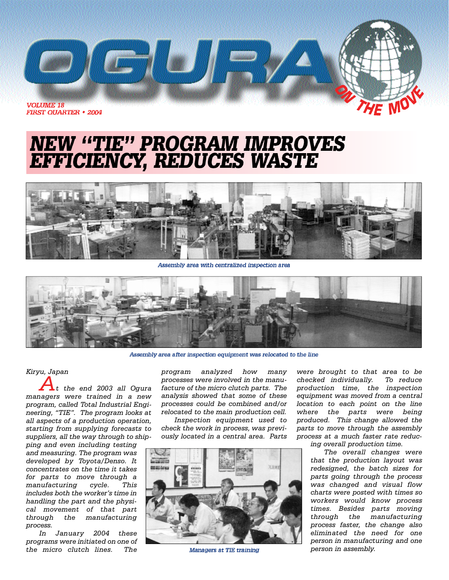

## **NEW "TIE" PROGRAM IMPROVES<br>EFFICIENCY, REDUCES WASTE**



Assembly area with centralized inspection area



Assembly area after inspection equipment was relocated to the line

#### *Kiryu, Japan*

*At the end 2003 all Ogura managers were trained in a new program, called Total Industrial Engineering, "TIE". The program looks at all aspects of a production operation, starting from supplying forecasts to suppliers, all the way through to ship-*

*ping and even including testing and measuring. The program was developed by Toyota/Denso. It concentrates on the time it takes for parts to move through a manufacturing cycle. This includes both the worker's time in handling the part and the physical movement of that part through the manufacturing process.*

*In January 2004 these programs were initiated on one of the micro clutch lines. The*

*program analyzed how many processes were involved in the manufacture of the micro clutch parts. The analysis showed that some of these processes could be combined and/or relocated to the main production cell.*

*Inspection equipment used to check the work in process, was previously located in a central area. Parts* 



Managers at TIE training

*were brought to that area to be checked individually. To reduce production time, the inspection equipment was moved from a central location to each point on the line where the parts were being produced. This change allowed the parts to move through the assembly process at a much faster rate reduc-*

*ing overall production time.*

*The overall changes were that the production layout was redesigned, the batch sizes for parts going through the process was changed and visual flow charts were posted with times so workers would know process times. Besides parts moving through the manufacturing process faster, the change also eliminated the need for one person in manufacturing and one person in assembly.*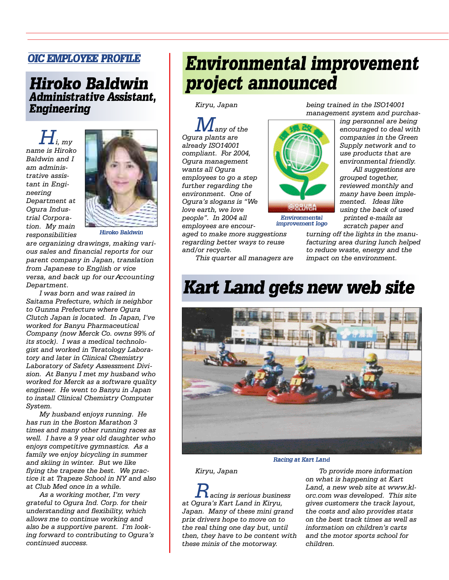### **OIC EMPLOYEE PROFILE**

### **Hiroko Baldwin Administrative Assistant. Engineering**

*Hi, my name is Hiroko Baldwin and I am administrative assistant in Engi* $neering$ *Department at Ogura Industrial Corporation. My main*  $r$  *esponsibilities* 



**Hiroko Baldwin** 

*are organizing drawings, making various sales and financial reports for our parent company in Japan, translation from Japanese to English or vice versa, and back up for our Accounting Department.*

*I was born and was raised in Saitama Prefecture, which is neighbor to Gunma Prefecture where Ogura Clutch Japan is located. In Japan, I've worked for Banyu Pharmaceutical Company (now Merck Co. owns 99% of its stock). I was a medical technologist and worked in Teratology Laboratory and later in Clinical Chemistry Laboratory of Safety Assessment Division. At Banyu I met my husband who worked for Merck as a software quality engineer. He went to Banyu in Japan to install Clinical Chemistry Computer System.*

*My husband enjoys running. He has run in the Boston Marathon 3 times and many other running races as well. I have a 9 year old daughter who enjoys competitive gymnastics. As a family we enjoy bicycling in summer and skiing in winter. But we like flying the trapeze the best. We practice it at Trapeze School in NY and also at Club Med once in a while.*

*As a working mother, I'm very grateful to Ogura Ind. Corp. for their understanding and flexibility, which allows me to continue working and also be a supportive parent. I'm looking forward to contributing to Ogura's continued success.*

## **Environmental improvement** project announced

*Kiryu, Japan*

*Many of the Ogura plants are already ISO14001 compliant. For 2004, Ogura management wants all Ogura employees to go a step further regarding the environment. One of Ogura's slogans is "We love earth, we love people". In 2004 all employees are encour-*

*aged to make more suggestions regarding better ways to reuse and/or recycle.*

*being trained in the ISO14001 management system and purchas-*

*ing personnel are being encouraged to deal with companies in the Green Supply network and to use products that are environmental friendly.*

*All suggestions are grouped together, reviewed monthly and many have been implemented. Ideas like using the back of used printed e-mails as scratch paper and*

*turning off the lights in the manufacturing area during lunch helped to reduce waste, energy and the impact on the environment.*

*This quarter all managers are*

## **Kart Land gets new web site**

Environmental improvement logo



Racing at Kart Land

*Kiryu, Japan*

*Racing is serious business at Ogura's Kart Land in Kiryu, Japan. Many of these mini grand prix drivers hope to move on to the real thing one day but, until then, they have to be content with these minis of the motorway.*

*To provide more information on what is happening at Kart Land, a new web site at www.klorc.com was developed. This site gives customers the track layout, the costs and also provides stats on the best track times as well as information on children's carts and the motor sports school for children.*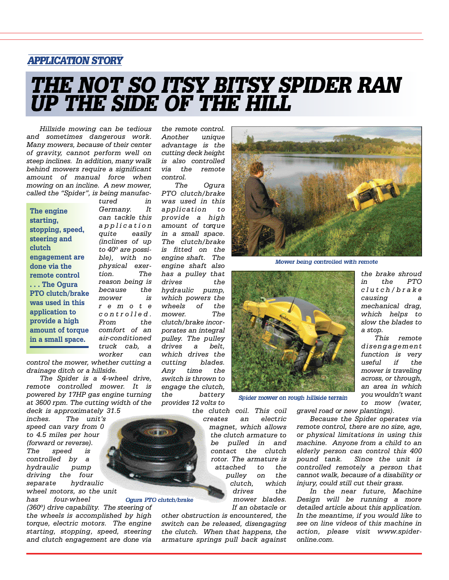### **APPLICATION STORY**

# THE NOT SO ITSY BITSY SPIDER RAN<br>UP THE SIDE OF THE HILL

*Hillside mowing can be tedious and sometimes dangerous work. Many mowers, because of their center of gravity, cannot perform well on steep inclines. In addition, many walk behind mowers require a significant amount of manual force when mowing on an incline. A new mower, called the "Spider", is being manufac-*

**The engine starting, stopping, speed, steering and clutch engagement are done via the remote control . . . The Ogura PTO clutch/brake was used in this application to provide a high amount of torque in a small space.**

*tured in* Germany. It *can tackle this a p p l i c a t i o n quite easily (inclines of up to 40º are possible), with no physical exertion. The reason being is because the mower is remote c o n t r o l l e d . From the comfort of an*  $air$ -conditioned *truck cab, a worker can*

*control the mower, whether cutting a drainage ditch or a hillside.*

*The Spider is a 4-wheel drive, remote controlled mower. It is powered by 17HP gas engine turning at 3600 rpm. The cutting width of the deck is approximately 31.5*

*inches. The unit's speed can vary from 0 to 4.5 miles per hour (forward or reverse). The speed is controlled by a hydraulic pump driving the four separate hydraulic wheel motors, so the unit*

*has four- w h e e l (360º) drive capability. The steering of the wheels is accomplished by high torque, electric motors. The engine starting, stopping, speed, steering and clutch engagement are done via*

*the remote control. Another unique advantage is the cutting deck height is also controlled via the remote control.*

*The Ogura PTO clutch/brake was used in this application to provide a high* amount of torque *in a small space. The clutch/brake is fitted on the engine shaft. The engine shaft also has a pulley that drives the hydraulic pump, which powers the wheels of the m o w e r. The clutch/brake incorporates an integral pulley. The pulley drives a belt, which drives the cutting blades. Any time the switch is thrown to engage the clutch, the battery provides 12 volts to*



Mower being controlled with remote



Spider mower on rough hillside terrain

*the clutch coil. This coil creates an electric magnet, which allows*

*the clutch armature to be pulled in and contact the clutch rotor. The armature is attached to the pulley on the clutch, which drives the mower blades.*

*If an obstacle or other obstruction is encountered, the switch can be released, disengaging the clutch. When that happens, the armature springs pull back against*

*the brake shroud in the PTO c l u t c h / b r a k e causing a mechanical drag, which helps to slow the blades to a stop.*

*This remote d i s e n g a g e m e n t function is very useful if the mower is traveling across, or through, an area in which you wouldn't want to mow (water,*

*gravel road or new plantings).*

*Because the Spider operates via remote control, there are no size, age, or physical limitations in using this machine. Anyone from a child to an elderly person can control this 400 pound tank. Since the unit is controlled remotely a person that cannot walk, because of a disability or injury, could still cut their grass.*

*In the near future, Machine Design will be running a more detailed article about this application. In the meantime, if you would like to see on line videos of this machine in* action, please visit www.spider*online.com.*

Ogura PTO clutch/brake